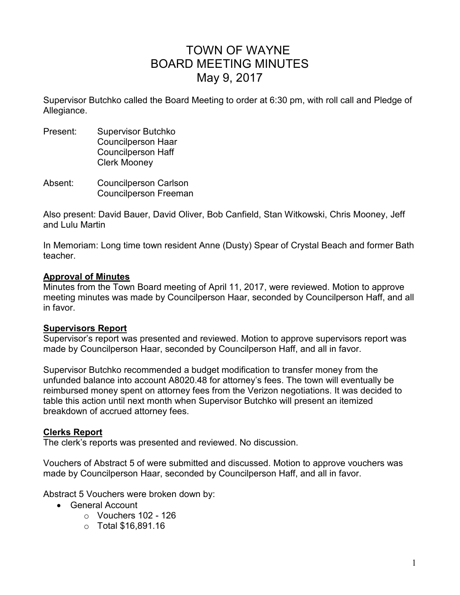# TOWN OF WAYNE BOARD MEETING MINUTES May 9, 2017

Supervisor Butchko called the Board Meeting to order at 6:30 pm, with roll call and Pledge of Allegiance.

- Present: Supervisor Butchko Councilperson Haar Councilperson Haff Clerk Mooney
- Absent: Councilperson Carlson Councilperson Freeman

Also present: David Bauer, David Oliver, Bob Canfield, Stan Witkowski, Chris Mooney, Jeff and Lulu Martin

In Memoriam: Long time town resident Anne (Dusty) Spear of Crystal Beach and former Bath teacher.

#### **Approval of Minutes**

Minutes from the Town Board meeting of April 11, 2017, were reviewed. Motion to approve meeting minutes was made by Councilperson Haar, seconded by Councilperson Haff, and all in favor.

## **Supervisors Report**

Supervisor's report was presented and reviewed. Motion to approve supervisors report was made by Councilperson Haar, seconded by Councilperson Haff, and all in favor.

Supervisor Butchko recommended a budget modification to transfer money from the unfunded balance into account A8020.48 for attorney's fees. The town will eventually be reimbursed money spent on attorney fees from the Verizon negotiations. It was decided to table this action until next month when Supervisor Butchko will present an itemized breakdown of accrued attorney fees.

## **Clerks Report**

The clerk's reports was presented and reviewed. No discussion.

Vouchers of Abstract 5 of were submitted and discussed. Motion to approve vouchers was made by Councilperson Haar, seconded by Councilperson Haff, and all in favor.

Abstract 5 Vouchers were broken down by:

- General Account
	- $\circ$  Vouchers 102 126
	- o Total \$16,891.16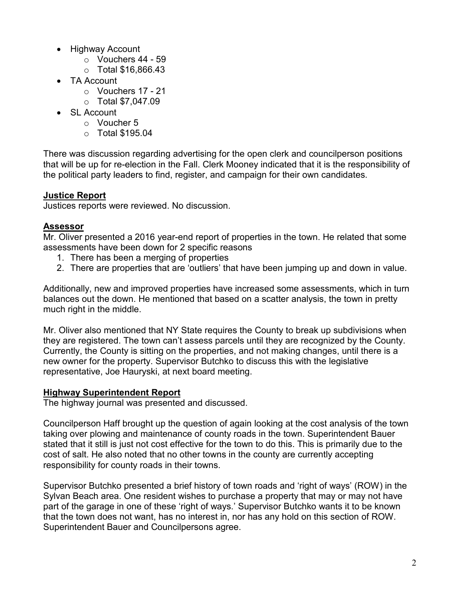- Highway Account
	- o Vouchers 44 59
	- o Total \$16,866.43
- TA Account
	- o Vouchers 17 21
	- $\circ$  Total \$7,047.09
- SL Account
	- o Voucher 5
	- $\circ$  Total \$195.04

There was discussion regarding advertising for the open clerk and councilperson positions that will be up for re-election in the Fall. Clerk Mooney indicated that it is the responsibility of the political party leaders to find, register, and campaign for their own candidates.

# **Justice Report**

Justices reports were reviewed. No discussion.

## **Assessor**

Mr. Oliver presented a 2016 year-end report of properties in the town. He related that some assessments have been down for 2 specific reasons

- 1. There has been a merging of properties
- 2. There are properties that are 'outliers' that have been jumping up and down in value.

Additionally, new and improved properties have increased some assessments, which in turn balances out the down. He mentioned that based on a scatter analysis, the town in pretty much right in the middle.

Mr. Oliver also mentioned that NY State requires the County to break up subdivisions when they are registered. The town can't assess parcels until they are recognized by the County. Currently, the County is sitting on the properties, and not making changes, until there is a new owner for the property. Supervisor Butchko to discuss this with the legislative representative, Joe Hauryski, at next board meeting.

## **Highway Superintendent Report**

The highway journal was presented and discussed.

Councilperson Haff brought up the question of again looking at the cost analysis of the town taking over plowing and maintenance of county roads in the town. Superintendent Bauer stated that it still is just not cost effective for the town to do this. This is primarily due to the cost of salt. He also noted that no other towns in the county are currently accepting responsibility for county roads in their towns.

Supervisor Butchko presented a brief history of town roads and 'right of ways' (ROW) in the Sylvan Beach area. One resident wishes to purchase a property that may or may not have part of the garage in one of these 'right of ways.' Supervisor Butchko wants it to be known that the town does not want, has no interest in, nor has any hold on this section of ROW. Superintendent Bauer and Councilpersons agree.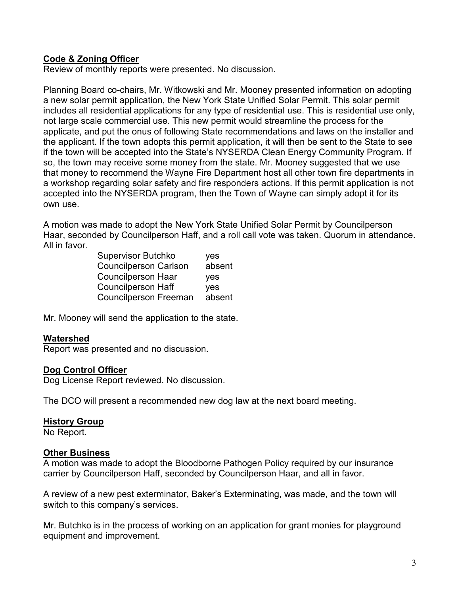## **Code & Zoning Officer**

Review of monthly reports were presented. No discussion.

Planning Board co-chairs, Mr. Witkowski and Mr. Mooney presented information on adopting a new solar permit application, the New York State Unified Solar Permit. This solar permit includes all residential applications for any type of residential use. This is residential use only, not large scale commercial use. This new permit would streamline the process for the applicate, and put the onus of following State recommendations and laws on the installer and the applicant. If the town adopts this permit application, it will then be sent to the State to see if the town will be accepted into the State's NYSERDA Clean Energy Community Program. If so, the town may receive some money from the state. Mr. Mooney suggested that we use that money to recommend the Wayne Fire Department host all other town fire departments in a workshop regarding solar safety and fire responders actions. If this permit application is not accepted into the NYSERDA program, then the Town of Wayne can simply adopt it for its own use.

A motion was made to adopt the New York State Unified Solar Permit by Councilperson Haar, seconded by Councilperson Haff, and a roll call vote was taken. Quorum in attendance. All in favor.

> Supervisor Butchko yes Councilperson Carlson absent Councilperson Haar yes Councilperson Haff yes Councilperson Freeman absent

Mr. Mooney will send the application to the state.

#### **Watershed**

Report was presented and no discussion.

#### **Dog Control Officer**

Dog License Report reviewed. No discussion.

The DCO will present a recommended new dog law at the next board meeting.

#### **History Group**

No Report.

#### **Other Business**

A motion was made to adopt the Bloodborne Pathogen Policy required by our insurance carrier by Councilperson Haff, seconded by Councilperson Haar, and all in favor.

A review of a new pest exterminator, Baker's Exterminating, was made, and the town will switch to this company's services.

Mr. Butchko is in the process of working on an application for grant monies for playground equipment and improvement.